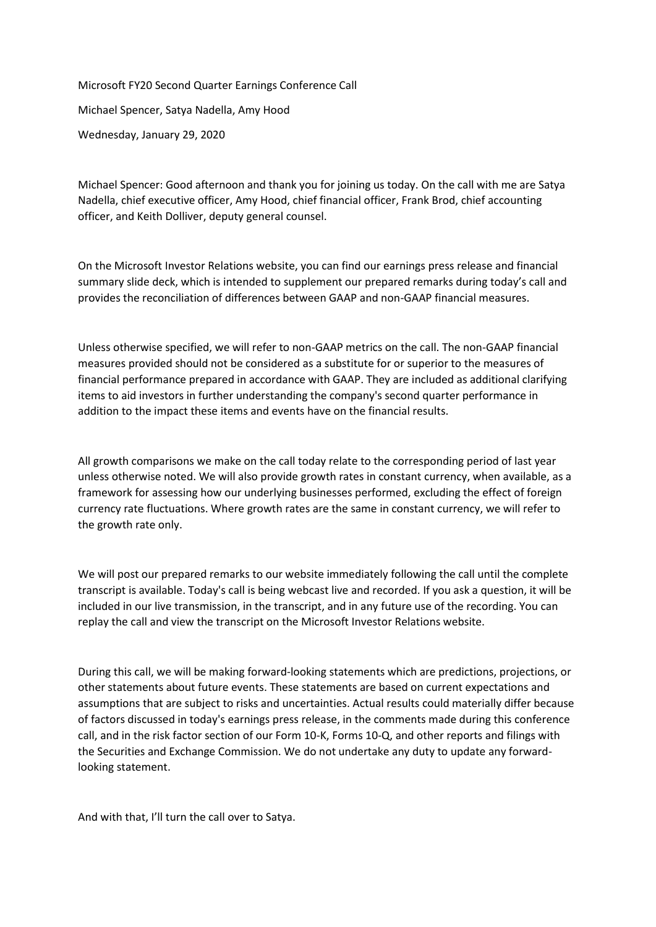Microsoft FY20 Second Quarter Earnings Conference Call Michael Spencer, Satya Nadella, Amy Hood Wednesday, January 29, 2020

Michael Spencer: Good afternoon and thank you for joining us today. On the call with me are Satya Nadella, chief executive officer, Amy Hood, chief financial officer, Frank Brod, chief accounting officer, and Keith Dolliver, deputy general counsel.

On the Microsoft Investor Relations website, you can find our earnings press release and financial summary slide deck, which is intended to supplement our prepared remarks during today's call and provides the reconciliation of differences between GAAP and non-GAAP financial measures.

Unless otherwise specified, we will refer to non-GAAP metrics on the call. The non-GAAP financial measures provided should not be considered as a substitute for or superior to the measures of financial performance prepared in accordance with GAAP. They are included as additional clarifying items to aid investors in further understanding the company's second quarter performance in addition to the impact these items and events have on the financial results.

All growth comparisons we make on the call today relate to the corresponding period of last year unless otherwise noted. We will also provide growth rates in constant currency, when available, as a framework for assessing how our underlying businesses performed, excluding the effect of foreign currency rate fluctuations. Where growth rates are the same in constant currency, we will refer to the growth rate only.

We will post our prepared remarks to our website immediately following the call until the complete transcript is available. Today's call is being webcast live and recorded. If you ask a question, it will be included in our live transmission, in the transcript, and in any future use of the recording. You can replay the call and view the transcript on the Microsoft Investor Relations website.

During this call, we will be making forward-looking statements which are predictions, projections, or other statements about future events. These statements are based on current expectations and assumptions that are subject to risks and uncertainties. Actual results could materially differ because of factors discussed in today's earnings press release, in the comments made during this conference call, and in the risk factor section of our Form 10-K, Forms 10-Q, and other reports and filings with the Securities and Exchange Commission. We do not undertake any duty to update any forwardlooking statement.

And with that, I'll turn the call over to Satya.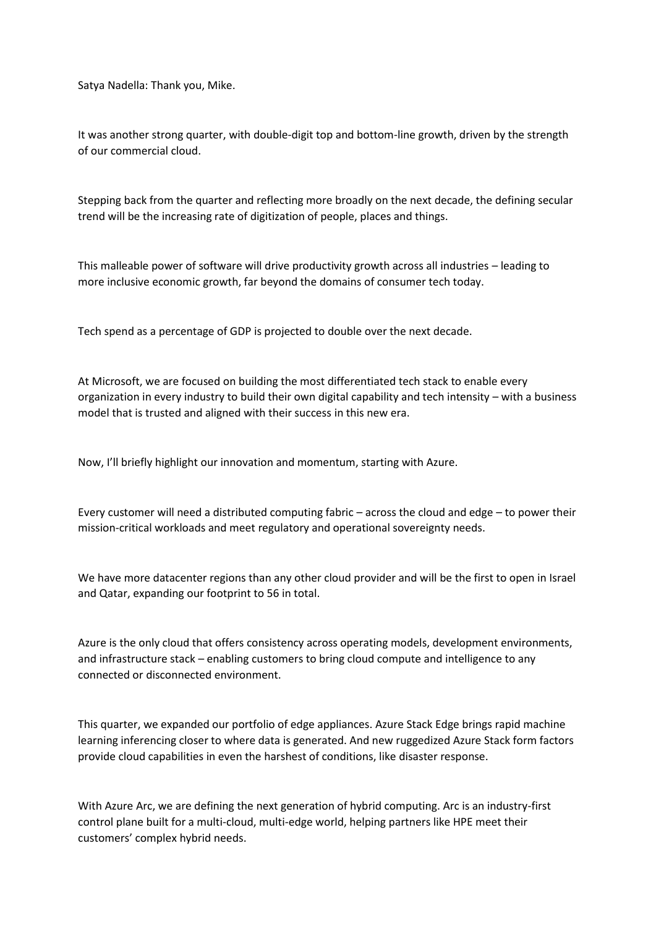Satya Nadella: Thank you, Mike.

It was another strong quarter, with double-digit top and bottom-line growth, driven by the strength of our commercial cloud.

Stepping back from the quarter and reflecting more broadly on the next decade, the defining secular trend will be the increasing rate of digitization of people, places and things.

This malleable power of software will drive productivity growth across all industries – leading to more inclusive economic growth, far beyond the domains of consumer tech today.

Tech spend as a percentage of GDP is projected to double over the next decade.

At Microsoft, we are focused on building the most differentiated tech stack to enable every organization in every industry to build their own digital capability and tech intensity – with a business model that is trusted and aligned with their success in this new era.

Now, I'll briefly highlight our innovation and momentum, starting with Azure.

Every customer will need a distributed computing fabric – across the cloud and edge – to power their mission-critical workloads and meet regulatory and operational sovereignty needs.

We have more datacenter regions than any other cloud provider and will be the first to open in Israel and Qatar, expanding our footprint to 56 in total.

Azure is the only cloud that offers consistency across operating models, development environments, and infrastructure stack – enabling customers to bring cloud compute and intelligence to any connected or disconnected environment.

This quarter, we expanded our portfolio of edge appliances. Azure Stack Edge brings rapid machine learning inferencing closer to where data is generated. And new ruggedized Azure Stack form factors provide cloud capabilities in even the harshest of conditions, like disaster response.

With Azure Arc, we are defining the next generation of hybrid computing. Arc is an industry-first control plane built for a multi-cloud, multi-edge world, helping partners like HPE meet their customers' complex hybrid needs.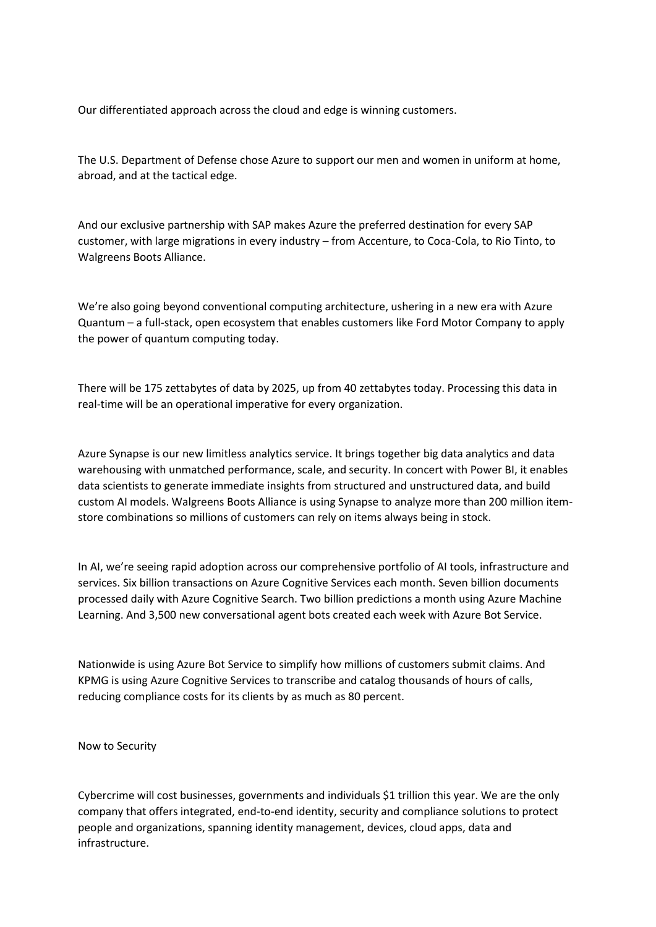Our differentiated approach across the cloud and edge is winning customers.

The U.S. Department of Defense chose Azure to support our men and women in uniform at home, abroad, and at the tactical edge.

And our exclusive partnership with SAP makes Azure the preferred destination for every SAP customer, with large migrations in every industry – from Accenture, to Coca-Cola, to Rio Tinto, to Walgreens Boots Alliance.

We're also going beyond conventional computing architecture, ushering in a new era with Azure Quantum – a full-stack, open ecosystem that enables customers like Ford Motor Company to apply the power of quantum computing today.

There will be 175 zettabytes of data by 2025, up from 40 zettabytes today. Processing this data in real-time will be an operational imperative for every organization.

Azure Synapse is our new limitless analytics service. It brings together big data analytics and data warehousing with unmatched performance, scale, and security. In concert with Power BI, it enables data scientists to generate immediate insights from structured and unstructured data, and build custom AI models. Walgreens Boots Alliance is using Synapse to analyze more than 200 million itemstore combinations so millions of customers can rely on items always being in stock.

In AI, we're seeing rapid adoption across our comprehensive portfolio of AI tools, infrastructure and services. Six billion transactions on Azure Cognitive Services each month. Seven billion documents processed daily with Azure Cognitive Search. Two billion predictions a month using Azure Machine Learning. And 3,500 new conversational agent bots created each week with Azure Bot Service.

Nationwide is using Azure Bot Service to simplify how millions of customers submit claims. And KPMG is using Azure Cognitive Services to transcribe and catalog thousands of hours of calls, reducing compliance costs for its clients by as much as 80 percent.

Now to Security

Cybercrime will cost businesses, governments and individuals \$1 trillion this year. We are the only company that offers integrated, end-to-end identity, security and compliance solutions to protect people and organizations, spanning identity management, devices, cloud apps, data and infrastructure.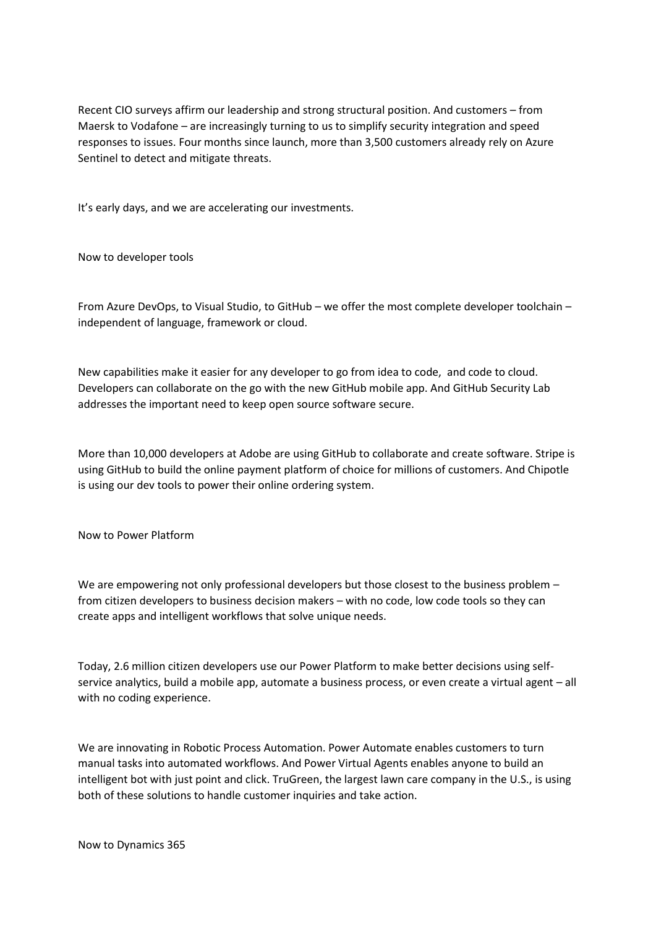Recent CIO surveys affirm our leadership and strong structural position. And customers – from Maersk to Vodafone – are increasingly turning to us to simplify security integration and speed responses to issues. Four months since launch, more than 3,500 customers already rely on Azure Sentinel to detect and mitigate threats.

It's early days, and we are accelerating our investments.

Now to developer tools

From Azure DevOps, to Visual Studio, to GitHub – we offer the most complete developer toolchain – independent of language, framework or cloud.

New capabilities make it easier for any developer to go from idea to code, and code to cloud. Developers can collaborate on the go with the new GitHub mobile app. And GitHub Security Lab addresses the important need to keep open source software secure.

More than 10,000 developers at Adobe are using GitHub to collaborate and create software. Stripe is using GitHub to build the online payment platform of choice for millions of customers. And Chipotle is using our dev tools to power their online ordering system.

Now to Power Platform

We are empowering not only professional developers but those closest to the business problem – from citizen developers to business decision makers – with no code, low code tools so they can create apps and intelligent workflows that solve unique needs.

Today, 2.6 million citizen developers use our Power Platform to make better decisions using selfservice analytics, build a mobile app, automate a business process, or even create a virtual agent – all with no coding experience.

We are innovating in Robotic Process Automation. Power Automate enables customers to turn manual tasks into automated workflows. And Power Virtual Agents enables anyone to build an intelligent bot with just point and click. TruGreen, the largest lawn care company in the U.S., is using both of these solutions to handle customer inquiries and take action.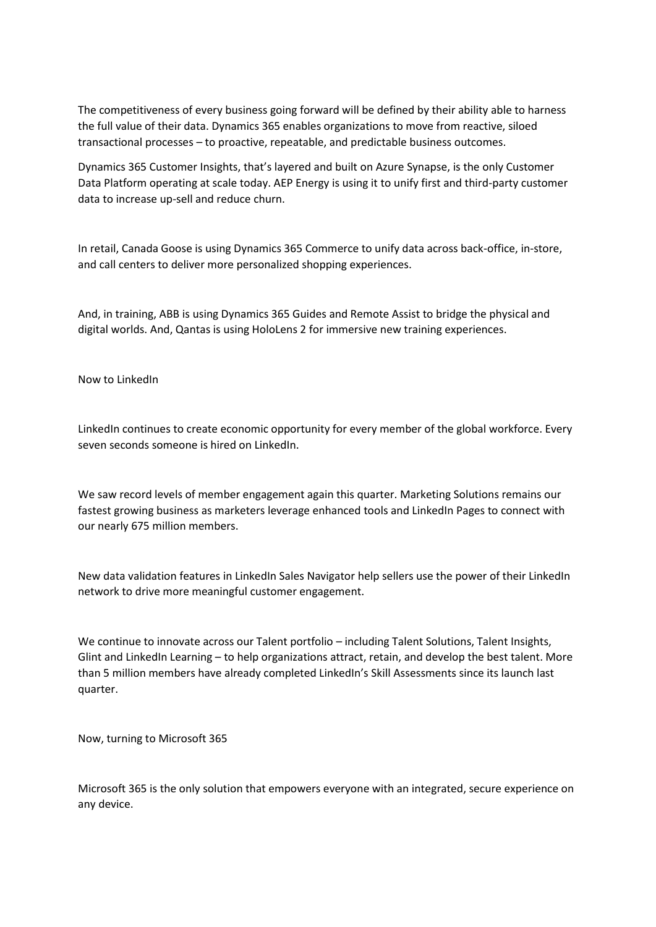The competitiveness of every business going forward will be defined by their ability able to harness the full value of their data. Dynamics 365 enables organizations to move from reactive, siloed transactional processes – to proactive, repeatable, and predictable business outcomes.

Dynamics 365 Customer Insights, that's layered and built on Azure Synapse, is the only Customer Data Platform operating at scale today. AEP Energy is using it to unify first and third-party customer data to increase up-sell and reduce churn.

In retail, Canada Goose is using Dynamics 365 Commerce to unify data across back-office, in-store, and call centers to deliver more personalized shopping experiences.

And, in training, ABB is using Dynamics 365 Guides and Remote Assist to bridge the physical and digital worlds. And, Qantas is using HoloLens 2 for immersive new training experiences.

Now to LinkedIn

LinkedIn continues to create economic opportunity for every member of the global workforce. Every seven seconds someone is hired on LinkedIn.

We saw record levels of member engagement again this quarter. Marketing Solutions remains our fastest growing business as marketers leverage enhanced tools and LinkedIn Pages to connect with our nearly 675 million members.

New data validation features in LinkedIn Sales Navigator help sellers use the power of their LinkedIn network to drive more meaningful customer engagement.

We continue to innovate across our Talent portfolio – including Talent Solutions, Talent Insights, Glint and LinkedIn Learning – to help organizations attract, retain, and develop the best talent. More than 5 million members have already completed LinkedIn's Skill Assessments since its launch last quarter.

Now, turning to Microsoft 365

Microsoft 365 is the only solution that empowers everyone with an integrated, secure experience on any device.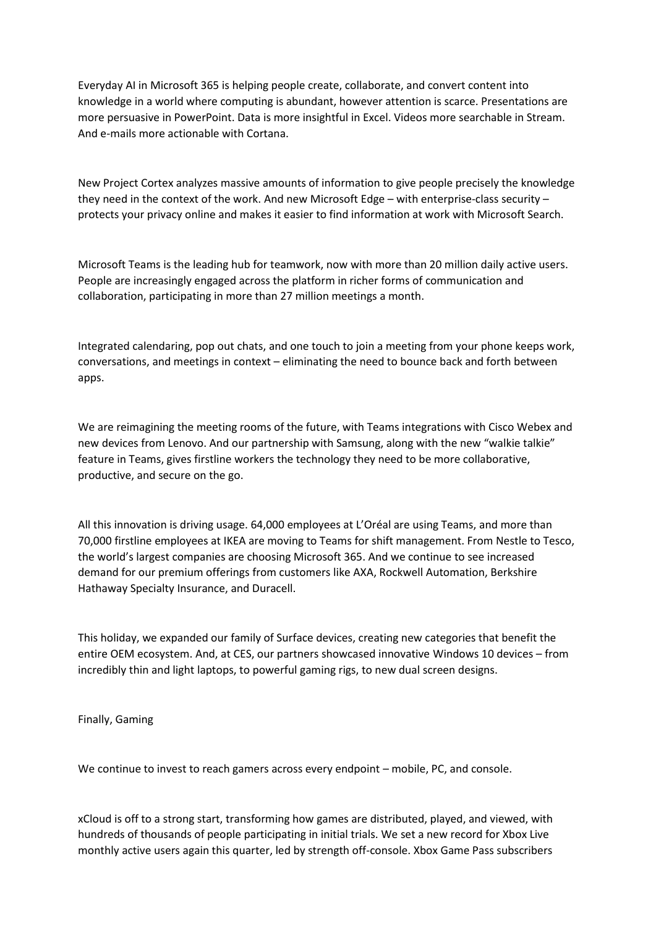Everyday AI in Microsoft 365 is helping people create, collaborate, and convert content into knowledge in a world where computing is abundant, however attention is scarce. Presentations are more persuasive in PowerPoint. Data is more insightful in Excel. Videos more searchable in Stream. And e-mails more actionable with Cortana.

New Project Cortex analyzes massive amounts of information to give people precisely the knowledge they need in the context of the work. And new Microsoft Edge – with enterprise-class security – protects your privacy online and makes it easier to find information at work with Microsoft Search.

Microsoft Teams is the leading hub for teamwork, now with more than 20 million daily active users. People are increasingly engaged across the platform in richer forms of communication and collaboration, participating in more than 27 million meetings a month.

Integrated calendaring, pop out chats, and one touch to join a meeting from your phone keeps work, conversations, and meetings in context – eliminating the need to bounce back and forth between apps.

We are reimagining the meeting rooms of the future, with Teams integrations with Cisco Webex and new devices from Lenovo. And our partnership with Samsung, along with the new "walkie talkie" feature in Teams, gives firstline workers the technology they need to be more collaborative, productive, and secure on the go.

All this innovation is driving usage. 64,000 employees at L'Oréal are using Teams, and more than 70,000 firstline employees at IKEA are moving to Teams for shift management. From Nestle to Tesco, the world's largest companies are choosing Microsoft 365. And we continue to see increased demand for our premium offerings from customers like AXA, Rockwell Automation, Berkshire Hathaway Specialty Insurance, and Duracell.

This holiday, we expanded our family of Surface devices, creating new categories that benefit the entire OEM ecosystem. And, at CES, our partners showcased innovative Windows 10 devices – from incredibly thin and light laptops, to powerful gaming rigs, to new dual screen designs.

Finally, Gaming

We continue to invest to reach gamers across every endpoint – mobile, PC, and console.

xCloud is off to a strong start, transforming how games are distributed, played, and viewed, with hundreds of thousands of people participating in initial trials. We set a new record for Xbox Live monthly active users again this quarter, led by strength off-console. Xbox Game Pass subscribers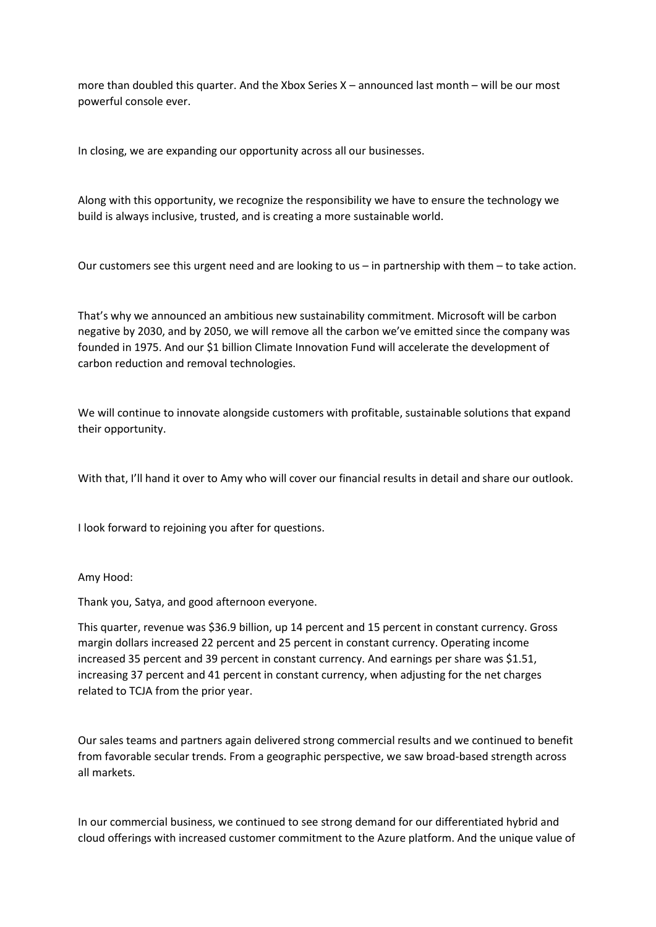more than doubled this quarter. And the Xbox Series X – announced last month – will be our most powerful console ever.

In closing, we are expanding our opportunity across all our businesses.

Along with this opportunity, we recognize the responsibility we have to ensure the technology we build is always inclusive, trusted, and is creating a more sustainable world.

Our customers see this urgent need and are looking to us  $-$  in partnership with them  $-$  to take action.

That's why we announced an ambitious new sustainability commitment. Microsoft will be carbon negative by 2030, and by 2050, we will remove all the carbon we've emitted since the company was founded in 1975. And our \$1 billion Climate Innovation Fund will accelerate the development of carbon reduction and removal technologies.

We will continue to innovate alongside customers with profitable, sustainable solutions that expand their opportunity.

With that, I'll hand it over to Amy who will cover our financial results in detail and share our outlook.

I look forward to rejoining you after for questions.

## Amy Hood:

Thank you, Satya, and good afternoon everyone.

This quarter, revenue was \$36.9 billion, up 14 percent and 15 percent in constant currency. Gross margin dollars increased 22 percent and 25 percent in constant currency. Operating income increased 35 percent and 39 percent in constant currency. And earnings per share was \$1.51, increasing 37 percent and 41 percent in constant currency, when adjusting for the net charges related to TCJA from the prior year.

Our sales teams and partners again delivered strong commercial results and we continued to benefit from favorable secular trends. From a geographic perspective, we saw broad-based strength across all markets.

In our commercial business, we continued to see strong demand for our differentiated hybrid and cloud offerings with increased customer commitment to the Azure platform. And the unique value of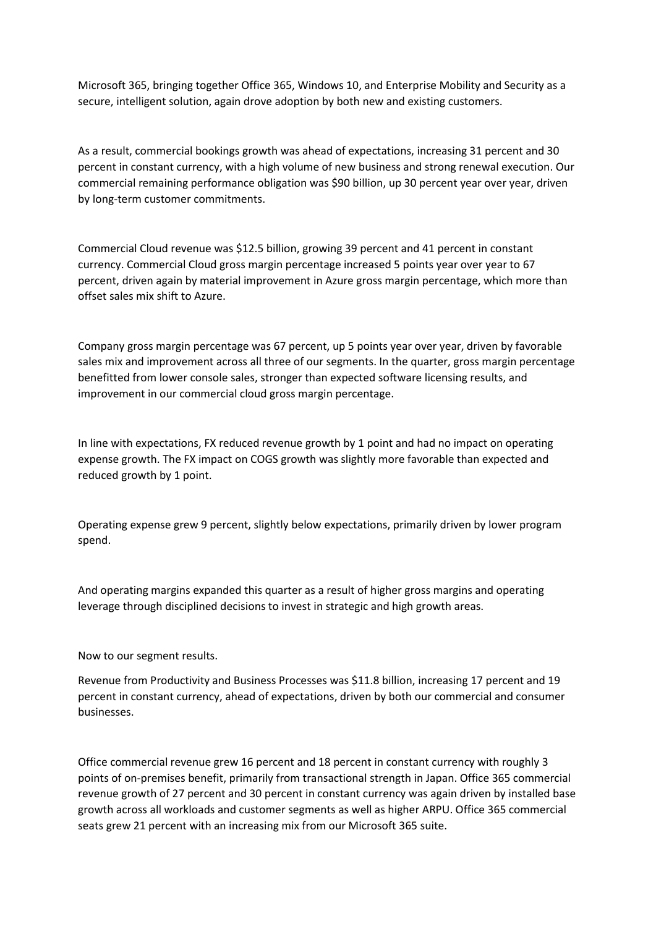Microsoft 365, bringing together Office 365, Windows 10, and Enterprise Mobility and Security as a secure, intelligent solution, again drove adoption by both new and existing customers.

As a result, commercial bookings growth was ahead of expectations, increasing 31 percent and 30 percent in constant currency, with a high volume of new business and strong renewal execution. Our commercial remaining performance obligation was \$90 billion, up 30 percent year over year, driven by long-term customer commitments.

Commercial Cloud revenue was \$12.5 billion, growing 39 percent and 41 percent in constant currency. Commercial Cloud gross margin percentage increased 5 points year over year to 67 percent, driven again by material improvement in Azure gross margin percentage, which more than offset sales mix shift to Azure.

Company gross margin percentage was 67 percent, up 5 points year over year, driven by favorable sales mix and improvement across all three of our segments. In the quarter, gross margin percentage benefitted from lower console sales, stronger than expected software licensing results, and improvement in our commercial cloud gross margin percentage.

In line with expectations, FX reduced revenue growth by 1 point and had no impact on operating expense growth. The FX impact on COGS growth was slightly more favorable than expected and reduced growth by 1 point.

Operating expense grew 9 percent, slightly below expectations, primarily driven by lower program spend.

And operating margins expanded this quarter as a result of higher gross margins and operating leverage through disciplined decisions to invest in strategic and high growth areas.

Now to our segment results.

Revenue from Productivity and Business Processes was \$11.8 billion, increasing 17 percent and 19 percent in constant currency, ahead of expectations, driven by both our commercial and consumer businesses.

Office commercial revenue grew 16 percent and 18 percent in constant currency with roughly 3 points of on-premises benefit, primarily from transactional strength in Japan. Office 365 commercial revenue growth of 27 percent and 30 percent in constant currency was again driven by installed base growth across all workloads and customer segments as well as higher ARPU. Office 365 commercial seats grew 21 percent with an increasing mix from our Microsoft 365 suite.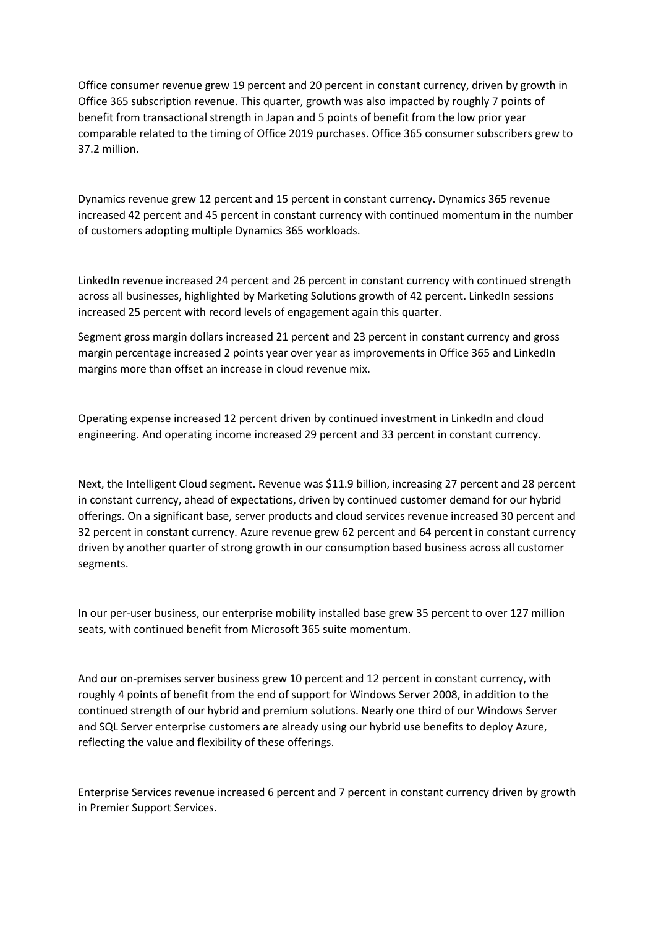Office consumer revenue grew 19 percent and 20 percent in constant currency, driven by growth in Office 365 subscription revenue. This quarter, growth was also impacted by roughly 7 points of benefit from transactional strength in Japan and 5 points of benefit from the low prior year comparable related to the timing of Office 2019 purchases. Office 365 consumer subscribers grew to 37.2 million.

Dynamics revenue grew 12 percent and 15 percent in constant currency. Dynamics 365 revenue increased 42 percent and 45 percent in constant currency with continued momentum in the number of customers adopting multiple Dynamics 365 workloads.

LinkedIn revenue increased 24 percent and 26 percent in constant currency with continued strength across all businesses, highlighted by Marketing Solutions growth of 42 percent. LinkedIn sessions increased 25 percent with record levels of engagement again this quarter.

Segment gross margin dollars increased 21 percent and 23 percent in constant currency and gross margin percentage increased 2 points year over year as improvements in Office 365 and LinkedIn margins more than offset an increase in cloud revenue mix.

Operating expense increased 12 percent driven by continued investment in LinkedIn and cloud engineering. And operating income increased 29 percent and 33 percent in constant currency.

Next, the Intelligent Cloud segment. Revenue was \$11.9 billion, increasing 27 percent and 28 percent in constant currency, ahead of expectations, driven by continued customer demand for our hybrid offerings. On a significant base, server products and cloud services revenue increased 30 percent and 32 percent in constant currency. Azure revenue grew 62 percent and 64 percent in constant currency driven by another quarter of strong growth in our consumption based business across all customer segments.

In our per-user business, our enterprise mobility installed base grew 35 percent to over 127 million seats, with continued benefit from Microsoft 365 suite momentum.

And our on-premises server business grew 10 percent and 12 percent in constant currency, with roughly 4 points of benefit from the end of support for Windows Server 2008, in addition to the continued strength of our hybrid and premium solutions. Nearly one third of our Windows Server and SQL Server enterprise customers are already using our hybrid use benefits to deploy Azure, reflecting the value and flexibility of these offerings.

Enterprise Services revenue increased 6 percent and 7 percent in constant currency driven by growth in Premier Support Services.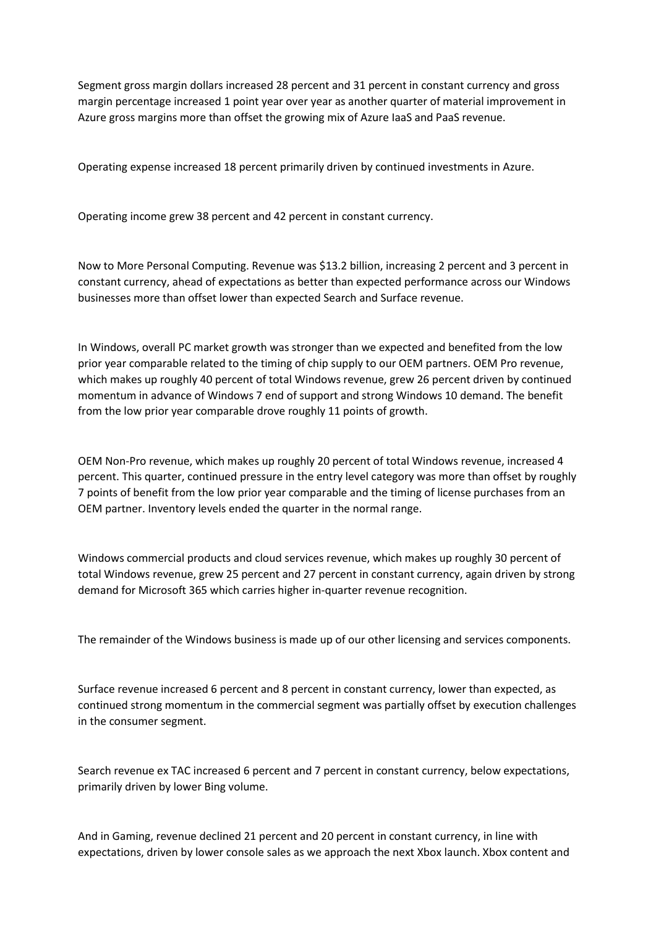Segment gross margin dollars increased 28 percent and 31 percent in constant currency and gross margin percentage increased 1 point year over year as another quarter of material improvement in Azure gross margins more than offset the growing mix of Azure IaaS and PaaS revenue.

Operating expense increased 18 percent primarily driven by continued investments in Azure.

Operating income grew 38 percent and 42 percent in constant currency.

Now to More Personal Computing. Revenue was \$13.2 billion, increasing 2 percent and 3 percent in constant currency, ahead of expectations as better than expected performance across our Windows businesses more than offset lower than expected Search and Surface revenue.

In Windows, overall PC market growth was stronger than we expected and benefited from the low prior year comparable related to the timing of chip supply to our OEM partners. OEM Pro revenue, which makes up roughly 40 percent of total Windows revenue, grew 26 percent driven by continued momentum in advance of Windows 7 end of support and strong Windows 10 demand. The benefit from the low prior year comparable drove roughly 11 points of growth.

OEM Non-Pro revenue, which makes up roughly 20 percent of total Windows revenue, increased 4 percent. This quarter, continued pressure in the entry level category was more than offset by roughly 7 points of benefit from the low prior year comparable and the timing of license purchases from an OEM partner. Inventory levels ended the quarter in the normal range.

Windows commercial products and cloud services revenue, which makes up roughly 30 percent of total Windows revenue, grew 25 percent and 27 percent in constant currency, again driven by strong demand for Microsoft 365 which carries higher in-quarter revenue recognition.

The remainder of the Windows business is made up of our other licensing and services components.

Surface revenue increased 6 percent and 8 percent in constant currency, lower than expected, as continued strong momentum in the commercial segment was partially offset by execution challenges in the consumer segment.

Search revenue ex TAC increased 6 percent and 7 percent in constant currency, below expectations, primarily driven by lower Bing volume.

And in Gaming, revenue declined 21 percent and 20 percent in constant currency, in line with expectations, driven by lower console sales as we approach the next Xbox launch. Xbox content and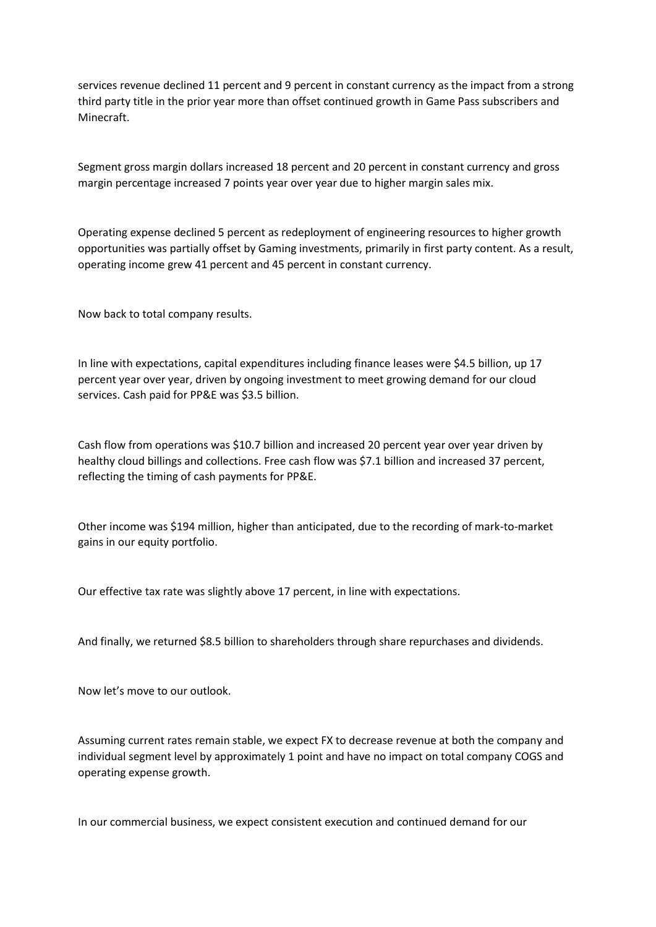services revenue declined 11 percent and 9 percent in constant currency as the impact from a strong third party title in the prior year more than offset continued growth in Game Pass subscribers and Minecraft.

Segment gross margin dollars increased 18 percent and 20 percent in constant currency and gross margin percentage increased 7 points year over year due to higher margin sales mix.

Operating expense declined 5 percent as redeployment of engineering resources to higher growth opportunities was partially offset by Gaming investments, primarily in first party content. As a result, operating income grew 41 percent and 45 percent in constant currency.

Now back to total company results.

In line with expectations, capital expenditures including finance leases were \$4.5 billion, up 17 percent year over year, driven by ongoing investment to meet growing demand for our cloud services. Cash paid for PP&E was \$3.5 billion.

Cash flow from operations was \$10.7 billion and increased 20 percent year over year driven by healthy cloud billings and collections. Free cash flow was \$7.1 billion and increased 37 percent, reflecting the timing of cash payments for PP&E.

Other income was \$194 million, higher than anticipated, due to the recording of mark-to-market gains in our equity portfolio.

Our effective tax rate was slightly above 17 percent, in line with expectations.

And finally, we returned \$8.5 billion to shareholders through share repurchases and dividends.

Now let's move to our outlook.

Assuming current rates remain stable, we expect FX to decrease revenue at both the company and individual segment level by approximately 1 point and have no impact on total company COGS and operating expense growth.

In our commercial business, we expect consistent execution and continued demand for our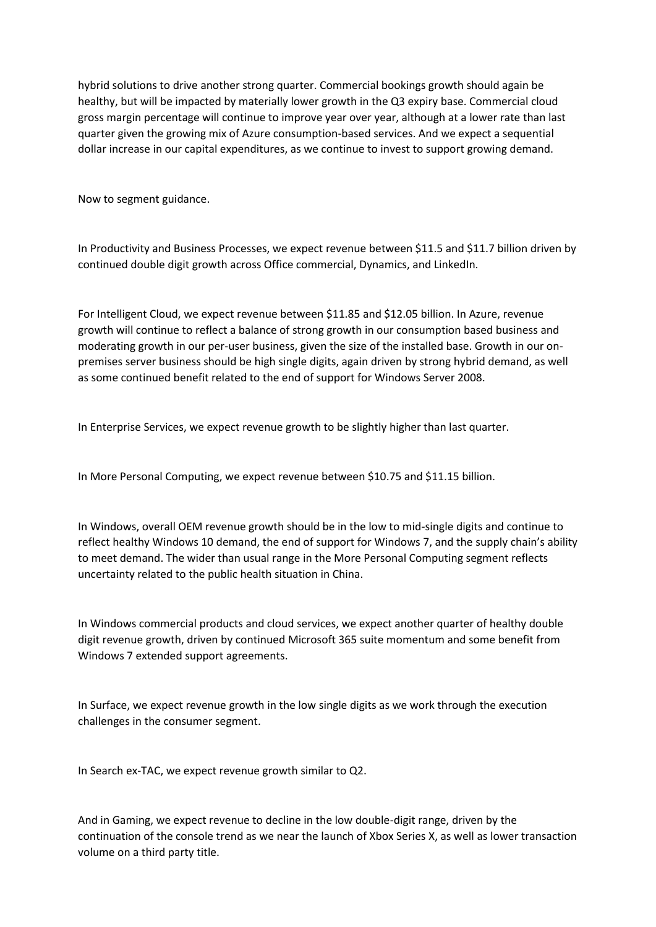hybrid solutions to drive another strong quarter. Commercial bookings growth should again be healthy, but will be impacted by materially lower growth in the Q3 expiry base. Commercial cloud gross margin percentage will continue to improve year over year, although at a lower rate than last quarter given the growing mix of Azure consumption-based services. And we expect a sequential dollar increase in our capital expenditures, as we continue to invest to support growing demand.

Now to segment guidance.

In Productivity and Business Processes, we expect revenue between \$11.5 and \$11.7 billion driven by continued double digit growth across Office commercial, Dynamics, and LinkedIn.

For Intelligent Cloud, we expect revenue between \$11.85 and \$12.05 billion. In Azure, revenue growth will continue to reflect a balance of strong growth in our consumption based business and moderating growth in our per-user business, given the size of the installed base. Growth in our onpremises server business should be high single digits, again driven by strong hybrid demand, as well as some continued benefit related to the end of support for Windows Server 2008.

In Enterprise Services, we expect revenue growth to be slightly higher than last quarter.

In More Personal Computing, we expect revenue between \$10.75 and \$11.15 billion.

In Windows, overall OEM revenue growth should be in the low to mid-single digits and continue to reflect healthy Windows 10 demand, the end of support for Windows 7, and the supply chain's ability to meet demand. The wider than usual range in the More Personal Computing segment reflects uncertainty related to the public health situation in China.

In Windows commercial products and cloud services, we expect another quarter of healthy double digit revenue growth, driven by continued Microsoft 365 suite momentum and some benefit from Windows 7 extended support agreements.

In Surface, we expect revenue growth in the low single digits as we work through the execution challenges in the consumer segment.

In Search ex-TAC, we expect revenue growth similar to Q2.

And in Gaming, we expect revenue to decline in the low double-digit range, driven by the continuation of the console trend as we near the launch of Xbox Series X, as well as lower transaction volume on a third party title.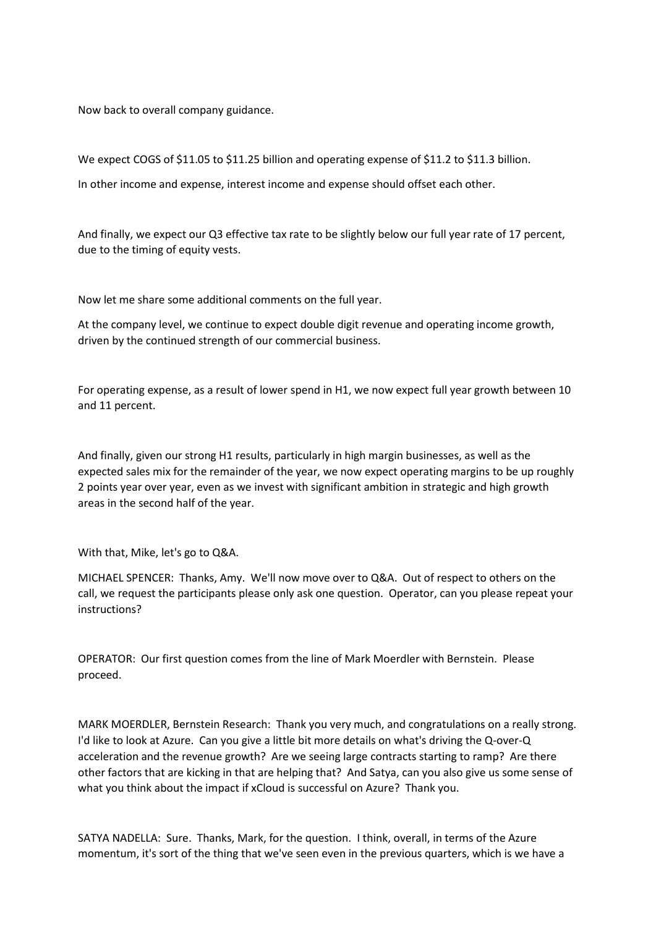Now back to overall company guidance.

We expect COGS of \$11.05 to \$11.25 billion and operating expense of \$11.2 to \$11.3 billion.

In other income and expense, interest income and expense should offset each other.

And finally, we expect our Q3 effective tax rate to be slightly below our full year rate of 17 percent, due to the timing of equity vests.

Now let me share some additional comments on the full year.

At the company level, we continue to expect double digit revenue and operating income growth, driven by the continued strength of our commercial business.

For operating expense, as a result of lower spend in H1, we now expect full year growth between 10 and 11 percent.

And finally, given our strong H1 results, particularly in high margin businesses, as well as the expected sales mix for the remainder of the year, we now expect operating margins to be up roughly 2 points year over year, even as we invest with significant ambition in strategic and high growth areas in the second half of the year.

With that, Mike, let's go to Q&A.

MICHAEL SPENCER: Thanks, Amy. We'll now move over to Q&A. Out of respect to others on the call, we request the participants please only ask one question. Operator, can you please repeat your instructions?

OPERATOR: Our first question comes from the line of Mark Moerdler with Bernstein. Please proceed.

MARK MOERDLER, Bernstein Research: Thank you very much, and congratulations on a really strong. I'd like to look at Azure. Can you give a little bit more details on what's driving the Q-over-Q acceleration and the revenue growth? Are we seeing large contracts starting to ramp? Are there other factors that are kicking in that are helping that? And Satya, can you also give us some sense of what you think about the impact if xCloud is successful on Azure? Thank you.

SATYA NADELLA: Sure. Thanks, Mark, for the question. I think, overall, in terms of the Azure momentum, it's sort of the thing that we've seen even in the previous quarters, which is we have a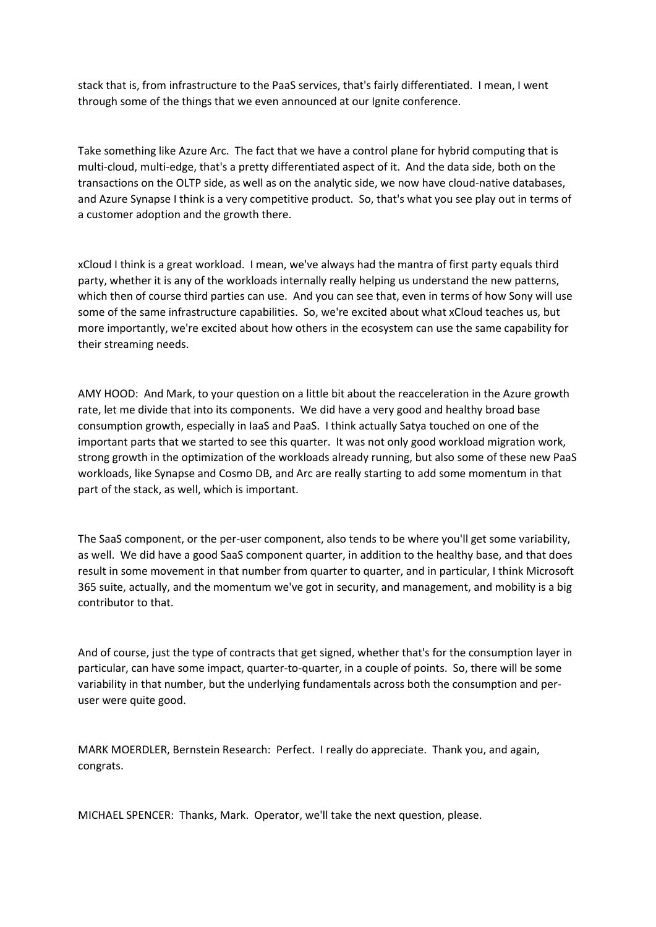stack that is, from infrastructure to the PaaS services, that's fairly differentiated. I mean, I went through some of the things that we even announced at our Ignite conference.

Take something like Azure Arc. The fact that we have a control plane for hybrid computing that is multi-cloud, multi-edge, that's a pretty differentiated aspect of it. And the data side, both on the transactions on the OLTP side, as well as on the analytic side, we now have cloud-native databases, and Azure Synapse I think is a very competitive product. So, that's what you see play out in terms of a customer adoption and the growth there.

xCloud I think is a great workload. I mean, we've always had the mantra of first party equals third party, whether it is any of the workloads internally really helping us understand the new patterns, which then of course third parties can use. And you can see that, even in terms of how Sony will use some of the same infrastructure capabilities. So, we're excited about what xCloud teaches us, but more importantly, we're excited about how others in the ecosystem can use the same capability for their streaming needs.

AMY HOOD: And Mark, to your question on a little bit about the reacceleration in the Azure growth rate, let me divide that into its components. We did have a very good and healthy broad base consumption growth, especially in IaaS and PaaS. I think actually Satya touched on one of the important parts that we started to see this quarter. It was not only good workload migration work, strong growth in the optimization of the workloads already running, but also some of these new PaaS workloads, like Synapse and Cosmo DB, and Arc are really starting to add some momentum in that part of the stack, as well, which is important.

The SaaS component, or the per-user component, also tends to be where you'll get some variability, as well. We did have a good SaaS component quarter, in addition to the healthy base, and that does result in some movement in that number from quarter to quarter, and in particular, I think Microsoft 365 suite, actually, and the momentum we've got in security, and management, and mobility is a big contributor to that.

And of course, just the type of contracts that get signed, whether that's for the consumption layer in particular, can have some impact, quarter-to-quarter, in a couple of points. So, there will be some variability in that number, but the underlying fundamentals across both the consumption and peruser were quite good.

MARK MOERDLER, Bernstein Research: Perfect. I really do appreciate. Thank you, and again, congrats.

MICHAEL SPENCER: Thanks, Mark. Operator, we'll take the next question, please.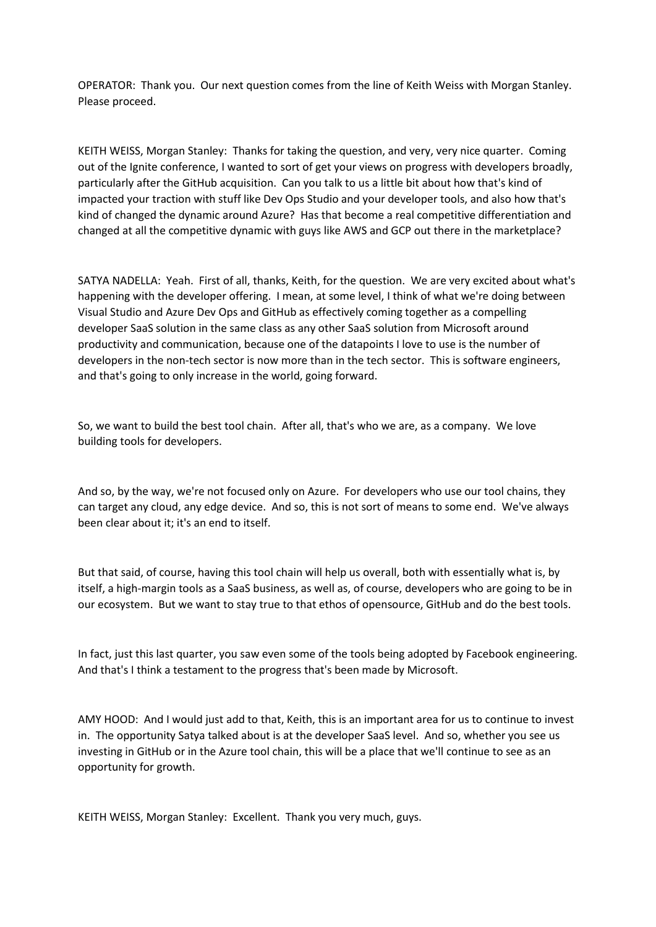OPERATOR: Thank you. Our next question comes from the line of Keith Weiss with Morgan Stanley. Please proceed.

KEITH WEISS, Morgan Stanley: Thanks for taking the question, and very, very nice quarter. Coming out of the Ignite conference, I wanted to sort of get your views on progress with developers broadly, particularly after the GitHub acquisition. Can you talk to us a little bit about how that's kind of impacted your traction with stuff like Dev Ops Studio and your developer tools, and also how that's kind of changed the dynamic around Azure? Has that become a real competitive differentiation and changed at all the competitive dynamic with guys like AWS and GCP out there in the marketplace?

SATYA NADELLA: Yeah. First of all, thanks, Keith, for the question. We are very excited about what's happening with the developer offering. I mean, at some level, I think of what we're doing between Visual Studio and Azure Dev Ops and GitHub as effectively coming together as a compelling developer SaaS solution in the same class as any other SaaS solution from Microsoft around productivity and communication, because one of the datapoints I love to use is the number of developers in the non-tech sector is now more than in the tech sector. This is software engineers, and that's going to only increase in the world, going forward.

So, we want to build the best tool chain. After all, that's who we are, as a company. We love building tools for developers.

And so, by the way, we're not focused only on Azure. For developers who use our tool chains, they can target any cloud, any edge device. And so, this is not sort of means to some end. We've always been clear about it; it's an end to itself.

But that said, of course, having this tool chain will help us overall, both with essentially what is, by itself, a high-margin tools as a SaaS business, as well as, of course, developers who are going to be in our ecosystem. But we want to stay true to that ethos of opensource, GitHub and do the best tools.

In fact, just this last quarter, you saw even some of the tools being adopted by Facebook engineering. And that's I think a testament to the progress that's been made by Microsoft.

AMY HOOD: And I would just add to that, Keith, this is an important area for us to continue to invest in. The opportunity Satya talked about is at the developer SaaS level. And so, whether you see us investing in GitHub or in the Azure tool chain, this will be a place that we'll continue to see as an opportunity for growth.

KEITH WEISS, Morgan Stanley: Excellent. Thank you very much, guys.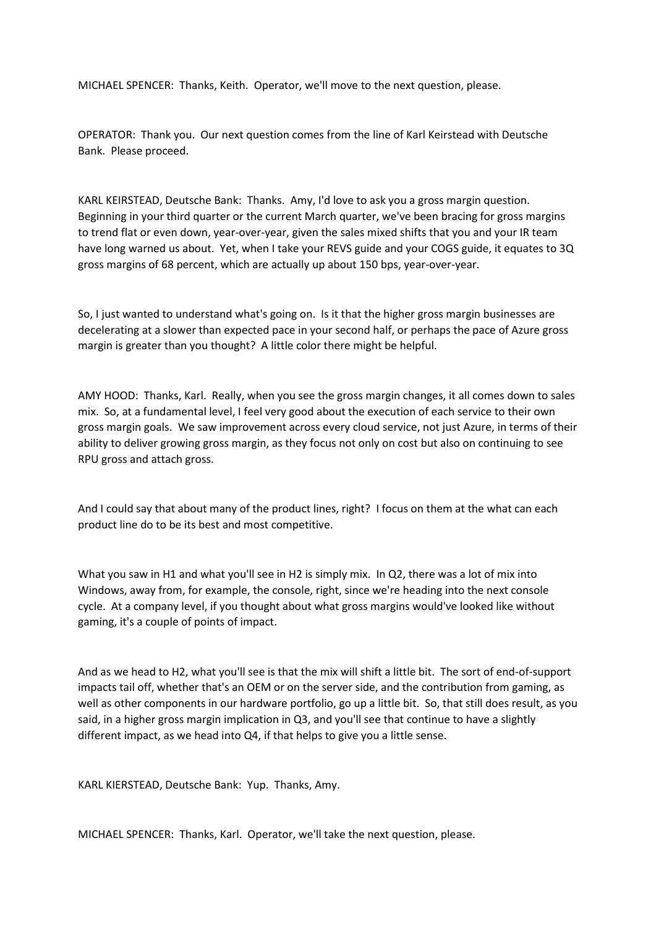MICHAEL SPENCER: Thanks, Keith. Operator, we'll move to the next question, please.

OPERATOR: Thank you. Our next question comes from the line of Karl Keirstead with Deutsche Bank. Please proceed.

KARL KEIRSTEAD, Deutsche Bank: Thanks. Amy, I'd love to ask you a gross margin question. Beginning in your third quarter or the current March quarter, we've been bracing for gross margins to trend flat or even down, year-over-year, given the sales mixed shifts that you and your IR team have long warned us about. Yet, when I take your REVS guide and your COGS guide, it equates to 3Q gross margins of 68 percent, which are actually up about 150 bps, year-over-year.

So, I just wanted to understand what's going on. Is it that the higher gross margin businesses are decelerating at a slower than expected pace in your second half, or perhaps the pace of Azure gross margin is greater than you thought? A little color there might be helpful.

AMY HOOD: Thanks, Karl. Really, when you see the gross margin changes, it all comes down to sales mix. So, at a fundamental level, I feel very good about the execution of each service to their own gross margin goals. We saw improvement across every cloud service, not just Azure, in terms of their ability to deliver growing gross margin, as they focus not only on cost but also on continuing to see RPU gross and attach gross.

And I could say that about many of the product lines, right? I focus on them at the what can each product line do to be its best and most competitive.

What you saw in H1 and what you'll see in H2 is simply mix. In Q2, there was a lot of mix into Windows, away from, for example, the console, right, since we're heading into the next console cycle. At a company level, if you thought about what gross margins would've looked like without gaming, it's a couple of points of impact.

And as we head to H2, what you'll see is that the mix will shift a little bit. The sort of end-of-support impacts tail off, whether that's an OEM or on the server side, and the contribution from gaming, as well as other components in our hardware portfolio, go up a little bit. So, that still does result, as you said, in a higher gross margin implication in Q3, and you'll see that continue to have a slightly different impact, as we head into Q4, if that helps to give you a little sense.

KARL KIERSTEAD, Deutsche Bank: Yup. Thanks, Amy.

MICHAEL SPENCER: Thanks, Karl. Operator, we'll take the next question, please.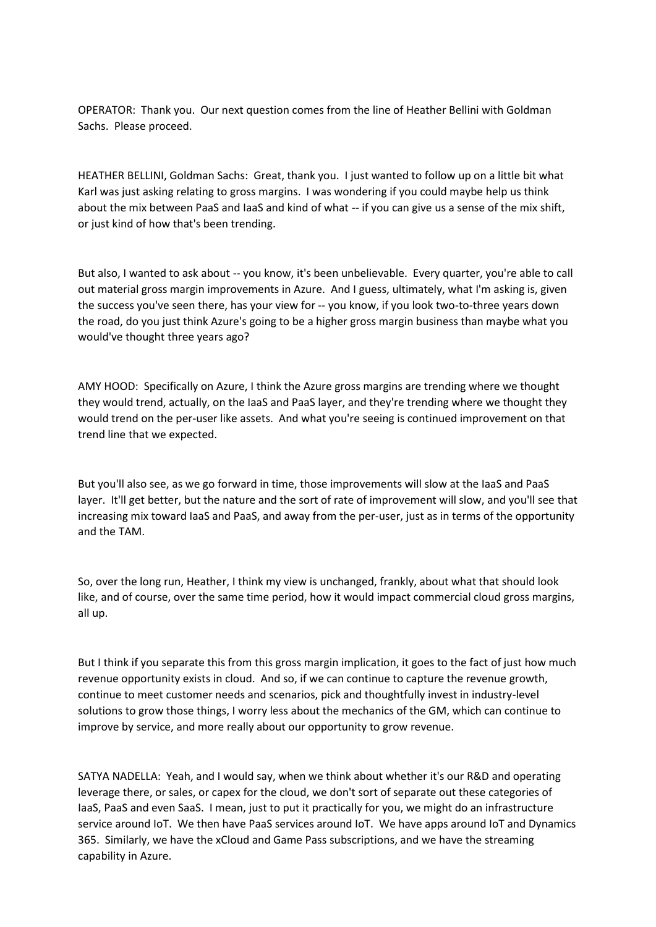OPERATOR: Thank you. Our next question comes from the line of Heather Bellini with Goldman Sachs. Please proceed.

HEATHER BELLINI, Goldman Sachs: Great, thank you. I just wanted to follow up on a little bit what Karl was just asking relating to gross margins. I was wondering if you could maybe help us think about the mix between PaaS and IaaS and kind of what -- if you can give us a sense of the mix shift, or just kind of how that's been trending.

But also, I wanted to ask about -- you know, it's been unbelievable. Every quarter, you're able to call out material gross margin improvements in Azure. And I guess, ultimately, what I'm asking is, given the success you've seen there, has your view for -- you know, if you look two-to-three years down the road, do you just think Azure's going to be a higher gross margin business than maybe what you would've thought three years ago?

AMY HOOD: Specifically on Azure, I think the Azure gross margins are trending where we thought they would trend, actually, on the IaaS and PaaS layer, and they're trending where we thought they would trend on the per-user like assets. And what you're seeing is continued improvement on that trend line that we expected.

But you'll also see, as we go forward in time, those improvements will slow at the IaaS and PaaS layer. It'll get better, but the nature and the sort of rate of improvement will slow, and you'll see that increasing mix toward IaaS and PaaS, and away from the per-user, just as in terms of the opportunity and the TAM.

So, over the long run, Heather, I think my view is unchanged, frankly, about what that should look like, and of course, over the same time period, how it would impact commercial cloud gross margins, all up.

But I think if you separate this from this gross margin implication, it goes to the fact of just how much revenue opportunity exists in cloud. And so, if we can continue to capture the revenue growth, continue to meet customer needs and scenarios, pick and thoughtfully invest in industry-level solutions to grow those things, I worry less about the mechanics of the GM, which can continue to improve by service, and more really about our opportunity to grow revenue.

SATYA NADELLA: Yeah, and I would say, when we think about whether it's our R&D and operating leverage there, or sales, or capex for the cloud, we don't sort of separate out these categories of IaaS, PaaS and even SaaS. I mean, just to put it practically for you, we might do an infrastructure service around IoT. We then have PaaS services around IoT. We have apps around IoT and Dynamics 365. Similarly, we have the xCloud and Game Pass subscriptions, and we have the streaming capability in Azure.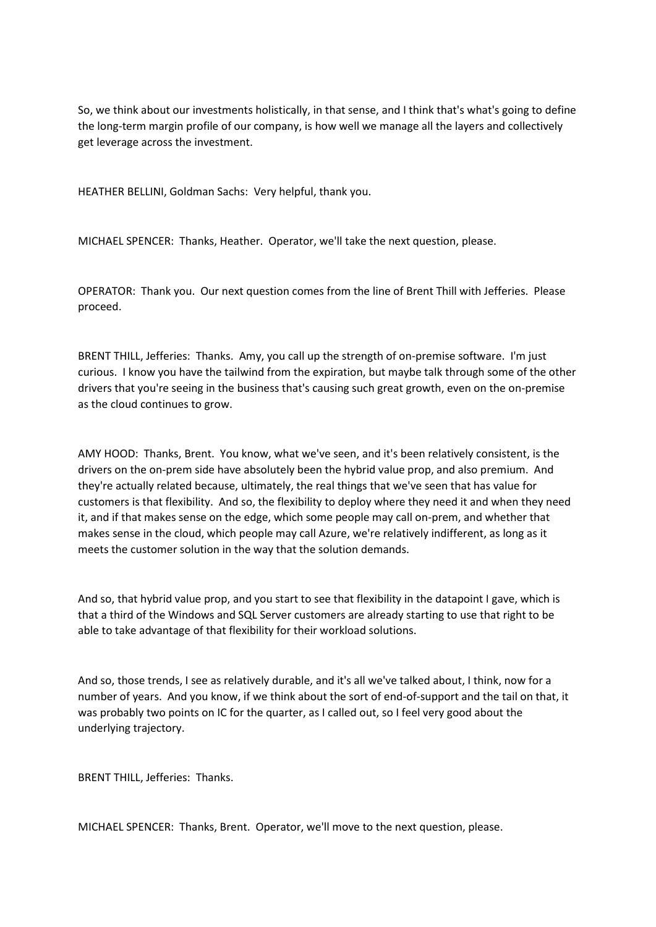So, we think about our investments holistically, in that sense, and I think that's what's going to define the long-term margin profile of our company, is how well we manage all the layers and collectively get leverage across the investment.

HEATHER BELLINI, Goldman Sachs: Very helpful, thank you.

MICHAEL SPENCER: Thanks, Heather. Operator, we'll take the next question, please.

OPERATOR: Thank you. Our next question comes from the line of Brent Thill with Jefferies. Please proceed.

BRENT THILL, Jefferies: Thanks. Amy, you call up the strength of on-premise software. I'm just curious. I know you have the tailwind from the expiration, but maybe talk through some of the other drivers that you're seeing in the business that's causing such great growth, even on the on-premise as the cloud continues to grow.

AMY HOOD: Thanks, Brent. You know, what we've seen, and it's been relatively consistent, is the drivers on the on-prem side have absolutely been the hybrid value prop, and also premium. And they're actually related because, ultimately, the real things that we've seen that has value for customers is that flexibility. And so, the flexibility to deploy where they need it and when they need it, and if that makes sense on the edge, which some people may call on-prem, and whether that makes sense in the cloud, which people may call Azure, we're relatively indifferent, as long as it meets the customer solution in the way that the solution demands.

And so, that hybrid value prop, and you start to see that flexibility in the datapoint I gave, which is that a third of the Windows and SQL Server customers are already starting to use that right to be able to take advantage of that flexibility for their workload solutions.

And so, those trends, I see as relatively durable, and it's all we've talked about, I think, now for a number of years. And you know, if we think about the sort of end-of-support and the tail on that, it was probably two points on IC for the quarter, as I called out, so I feel very good about the underlying trajectory.

BRENT THILL, Jefferies: Thanks.

MICHAEL SPENCER: Thanks, Brent. Operator, we'll move to the next question, please.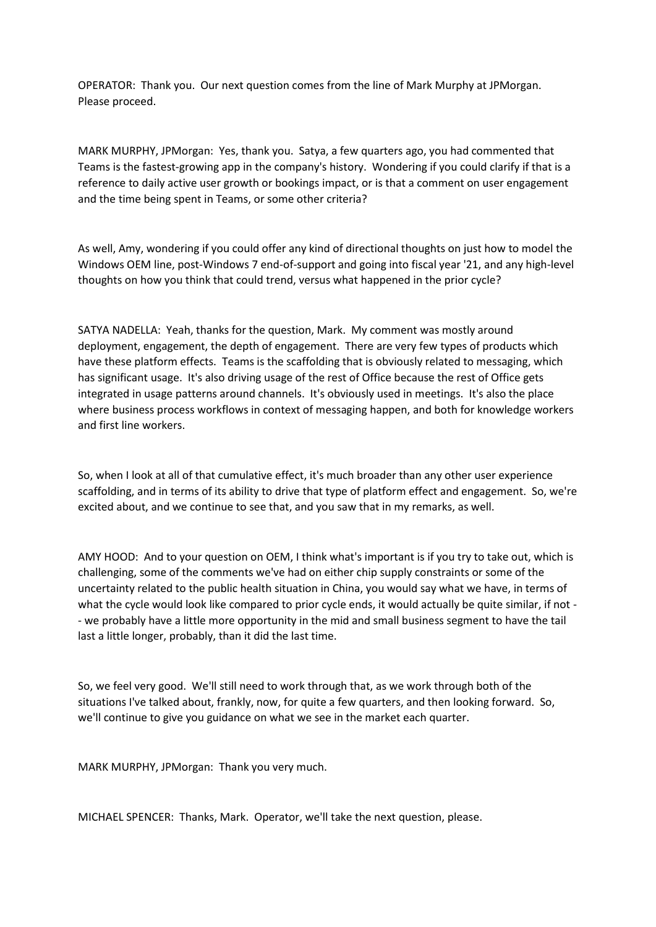OPERATOR: Thank you. Our next question comes from the line of Mark Murphy at JPMorgan. Please proceed.

MARK MURPHY, JPMorgan: Yes, thank you. Satya, a few quarters ago, you had commented that Teams is the fastest-growing app in the company's history. Wondering if you could clarify if that is a reference to daily active user growth or bookings impact, or is that a comment on user engagement and the time being spent in Teams, or some other criteria?

As well, Amy, wondering if you could offer any kind of directional thoughts on just how to model the Windows OEM line, post-Windows 7 end-of-support and going into fiscal year '21, and any high-level thoughts on how you think that could trend, versus what happened in the prior cycle?

SATYA NADELLA: Yeah, thanks for the question, Mark. My comment was mostly around deployment, engagement, the depth of engagement. There are very few types of products which have these platform effects. Teams is the scaffolding that is obviously related to messaging, which has significant usage. It's also driving usage of the rest of Office because the rest of Office gets integrated in usage patterns around channels. It's obviously used in meetings. It's also the place where business process workflows in context of messaging happen, and both for knowledge workers and first line workers.

So, when I look at all of that cumulative effect, it's much broader than any other user experience scaffolding, and in terms of its ability to drive that type of platform effect and engagement. So, we're excited about, and we continue to see that, and you saw that in my remarks, as well.

AMY HOOD: And to your question on OEM, I think what's important is if you try to take out, which is challenging, some of the comments we've had on either chip supply constraints or some of the uncertainty related to the public health situation in China, you would say what we have, in terms of what the cycle would look like compared to prior cycle ends, it would actually be quite similar, if not - - we probably have a little more opportunity in the mid and small business segment to have the tail last a little longer, probably, than it did the last time.

So, we feel very good. We'll still need to work through that, as we work through both of the situations I've talked about, frankly, now, for quite a few quarters, and then looking forward. So, we'll continue to give you guidance on what we see in the market each quarter.

MARK MURPHY, JPMorgan: Thank you very much.

MICHAEL SPENCER: Thanks, Mark. Operator, we'll take the next question, please.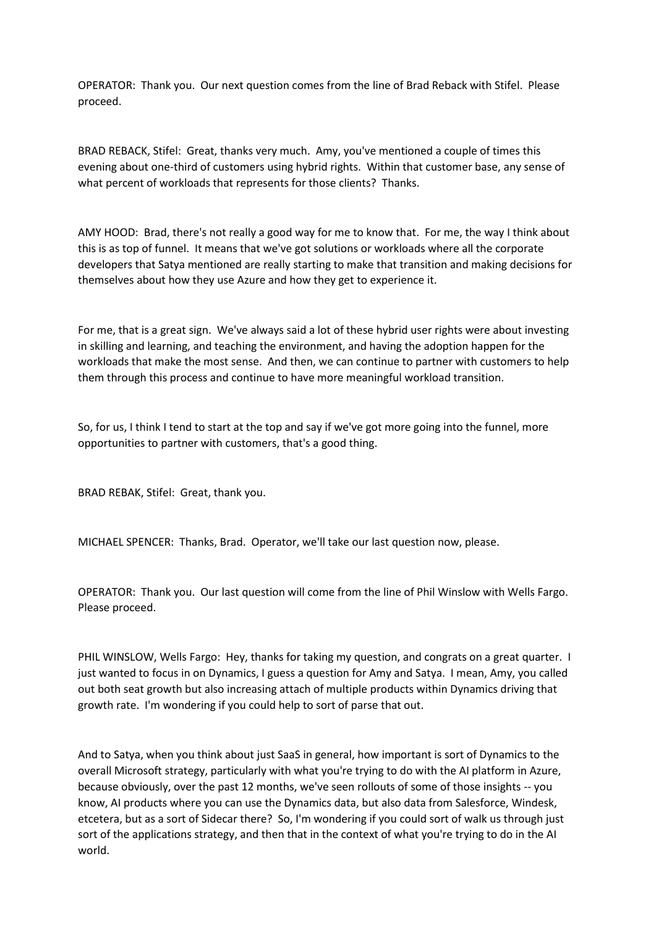OPERATOR: Thank you. Our next question comes from the line of Brad Reback with Stifel. Please proceed.

BRAD REBACK, Stifel: Great, thanks very much. Amy, you've mentioned a couple of times this evening about one-third of customers using hybrid rights. Within that customer base, any sense of what percent of workloads that represents for those clients? Thanks.

AMY HOOD: Brad, there's not really a good way for me to know that. For me, the way I think about this is as top of funnel. It means that we've got solutions or workloads where all the corporate developers that Satya mentioned are really starting to make that transition and making decisions for themselves about how they use Azure and how they get to experience it.

For me, that is a great sign. We've always said a lot of these hybrid user rights were about investing in skilling and learning, and teaching the environment, and having the adoption happen for the workloads that make the most sense. And then, we can continue to partner with customers to help them through this process and continue to have more meaningful workload transition.

So, for us, I think I tend to start at the top and say if we've got more going into the funnel, more opportunities to partner with customers, that's a good thing.

BRAD REBAK, Stifel: Great, thank you.

MICHAEL SPENCER: Thanks, Brad. Operator, we'll take our last question now, please.

OPERATOR: Thank you. Our last question will come from the line of Phil Winslow with Wells Fargo. Please proceed.

PHIL WINSLOW, Wells Fargo: Hey, thanks for taking my question, and congrats on a great quarter. I just wanted to focus in on Dynamics, I guess a question for Amy and Satya. I mean, Amy, you called out both seat growth but also increasing attach of multiple products within Dynamics driving that growth rate. I'm wondering if you could help to sort of parse that out.

And to Satya, when you think about just SaaS in general, how important is sort of Dynamics to the overall Microsoft strategy, particularly with what you're trying to do with the AI platform in Azure, because obviously, over the past 12 months, we've seen rollouts of some of those insights -- you know, AI products where you can use the Dynamics data, but also data from Salesforce, Windesk, etcetera, but as a sort of Sidecar there? So, I'm wondering if you could sort of walk us through just sort of the applications strategy, and then that in the context of what you're trying to do in the AI world.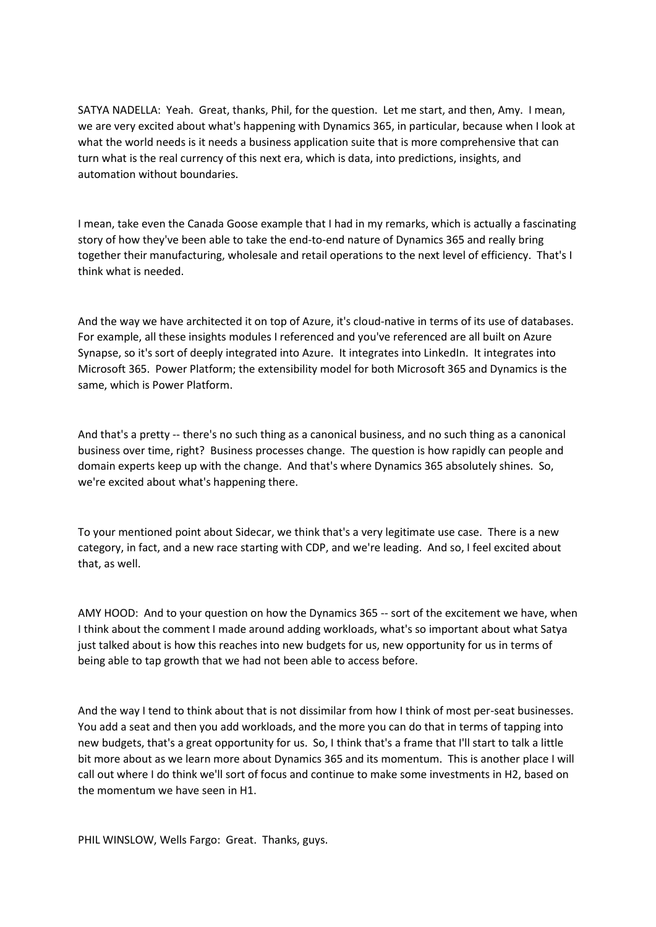SATYA NADELLA: Yeah. Great, thanks, Phil, for the question. Let me start, and then, Amy. I mean, we are very excited about what's happening with Dynamics 365, in particular, because when I look at what the world needs is it needs a business application suite that is more comprehensive that can turn what is the real currency of this next era, which is data, into predictions, insights, and automation without boundaries.

I mean, take even the Canada Goose example that I had in my remarks, which is actually a fascinating story of how they've been able to take the end-to-end nature of Dynamics 365 and really bring together their manufacturing, wholesale and retail operations to the next level of efficiency. That's I think what is needed.

And the way we have architected it on top of Azure, it's cloud-native in terms of its use of databases. For example, all these insights modules I referenced and you've referenced are all built on Azure Synapse, so it's sort of deeply integrated into Azure. It integrates into LinkedIn. It integrates into Microsoft 365. Power Platform; the extensibility model for both Microsoft 365 and Dynamics is the same, which is Power Platform.

And that's a pretty -- there's no such thing as a canonical business, and no such thing as a canonical business over time, right? Business processes change. The question is how rapidly can people and domain experts keep up with the change. And that's where Dynamics 365 absolutely shines. So, we're excited about what's happening there.

To your mentioned point about Sidecar, we think that's a very legitimate use case. There is a new category, in fact, and a new race starting with CDP, and we're leading. And so, I feel excited about that, as well.

AMY HOOD: And to your question on how the Dynamics 365 -- sort of the excitement we have, when I think about the comment I made around adding workloads, what's so important about what Satya just talked about is how this reaches into new budgets for us, new opportunity for us in terms of being able to tap growth that we had not been able to access before.

And the way I tend to think about that is not dissimilar from how I think of most per-seat businesses. You add a seat and then you add workloads, and the more you can do that in terms of tapping into new budgets, that's a great opportunity for us. So, I think that's a frame that I'll start to talk a little bit more about as we learn more about Dynamics 365 and its momentum. This is another place I will call out where I do think we'll sort of focus and continue to make some investments in H2, based on the momentum we have seen in H1.

PHIL WINSLOW, Wells Fargo: Great. Thanks, guys.